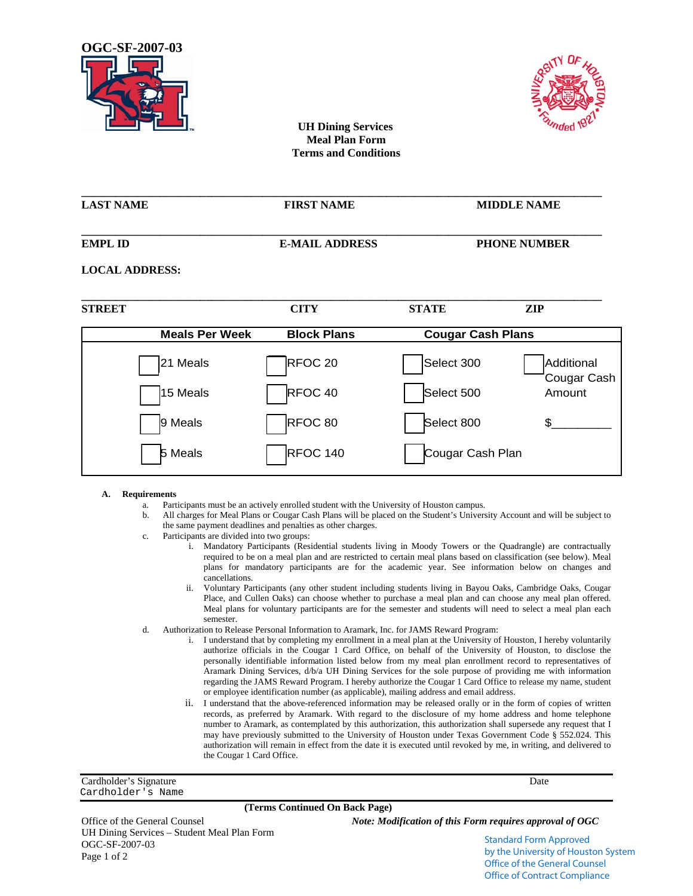



 **UH Dining Services Meal Plan Form Terms and Conditions** 

**\_\_\_\_\_\_\_\_\_\_\_\_\_\_\_\_\_\_\_\_\_\_\_\_\_\_\_\_\_\_\_\_\_\_\_\_\_\_\_\_\_\_\_\_\_\_\_\_\_\_\_\_\_\_\_\_\_\_\_\_\_\_\_\_\_\_\_\_\_\_\_\_\_\_\_\_\_\_\_\_\_\_\_\_\_\_\_\_\_\_\_\_** 

| <b>LAST NAME</b>      | <b>FIRST NAME</b>     |                          | <b>MIDDLE NAME</b>        |
|-----------------------|-----------------------|--------------------------|---------------------------|
| <b>EMPL ID</b>        | <b>E-MAIL ADDRESS</b> | <b>PHONE NUMBER</b>      |                           |
| <b>LOCAL ADDRESS:</b> |                       |                          |                           |
| <b>STREET</b>         | <b>CITY</b>           | <b>STATE</b>             | ZIP                       |
| <b>Meals Per Week</b> | <b>Block Plans</b>    | <b>Cougar Cash Plans</b> |                           |
| 21 Meals              | RFOC 20               | Select 300               | Additional<br>Cougar Cash |
| 15 Meals              | RFOC <sub>40</sub>    | Select 500               | Amount                    |

#### **A. Requirements**

a. Participants must be an actively enrolled student with the University of Houston campus.

9 Meals RFOC 80 Select 800 \$\_\_\_\_\_\_\_\_\_

Meals | RFOC 140 | Cougar Cash Plan

- b. All charges for Meal Plans or Cougar Cash Plans will be placed on the Student's University Account and will be subject to the same payment deadlines and penalties as other charges.
- c. Participants are divided into two groups:
	- i. Mandatory Participants (Residential students living in Moody Towers or the Quadrangle) are contractually required to be on a meal plan and are restricted to certain meal plans based on classification (see below). Meal plans for mandatory participants are for the academic year. See information below on changes and cancellations.
	- ii. Voluntary Participants (any other student including students living in Bayou Oaks, Cambridge Oaks, Cougar Place, and Cullen Oaks) can choose whether to purchase a meal plan and can choose any meal plan offered. Meal plans for voluntary participants are for the semester and students will need to select a meal plan each semester.
- d. Authorization to Release Personal Information to Aramark, Inc. for JAMS Reward Program:
	- i. I understand that by completing my enrollment in a meal plan at the University of Houston, I hereby voluntarily authorize officials in the Cougar 1 Card Office, on behalf of the University of Houston, to disclose the personally identifiable information listed below from my meal plan enrollment record to representatives of Aramark Dining Services, d/b/a UH Dining Services for the sole purpose of providing me with information regarding the JAMS Reward Program. I hereby authorize the Cougar 1 Card Office to release my name, student or employee identification number (as applicable), mailing address and email address.
	- ii. I understand that the above-referenced information may be released orally or in the form of copies of written records, as preferred by Aramark. With regard to the disclosure of my home address and home telephone number to Aramark, as contemplated by this authorization, this authorization shall supersede any request that I may have previously submitted to the University of Houston under Texas Government Code § 552.024. This authorization will remain in effect from the date it is executed until revoked by me, in writing, and delivered to the Cougar 1 Card Office.

Cardholder's Signature Date Cardholder's Name

#### **(Terms Continued On Back Page)**

UH Dining Services – Student Meal Plan Form OGC-SF-2007-03 Page 1 of 2

Office of the General Counsel *Note: Modification of this Form requires approval of OGC* 

Standard Form Approved by the University of Houston System Office of the General Counsel Office of Contract Compliance